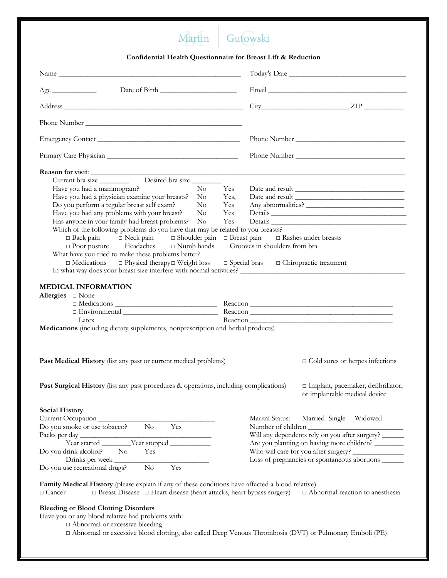## Martin Gutowski

**Confidential Health Questionnaire for Breast Lift & Reduction**

|                                                                                                                                                                                                                                                                                                                                                                                                                                                                                                                                                                                                                                                                                                                                                                                                                                                                                                                                                                                                                                                                                         | $City$ $ZIP$ $\_\_\_\_\_\_$                                                                                                                              |  |  |
|-----------------------------------------------------------------------------------------------------------------------------------------------------------------------------------------------------------------------------------------------------------------------------------------------------------------------------------------------------------------------------------------------------------------------------------------------------------------------------------------------------------------------------------------------------------------------------------------------------------------------------------------------------------------------------------------------------------------------------------------------------------------------------------------------------------------------------------------------------------------------------------------------------------------------------------------------------------------------------------------------------------------------------------------------------------------------------------------|----------------------------------------------------------------------------------------------------------------------------------------------------------|--|--|
|                                                                                                                                                                                                                                                                                                                                                                                                                                                                                                                                                                                                                                                                                                                                                                                                                                                                                                                                                                                                                                                                                         |                                                                                                                                                          |  |  |
|                                                                                                                                                                                                                                                                                                                                                                                                                                                                                                                                                                                                                                                                                                                                                                                                                                                                                                                                                                                                                                                                                         |                                                                                                                                                          |  |  |
|                                                                                                                                                                                                                                                                                                                                                                                                                                                                                                                                                                                                                                                                                                                                                                                                                                                                                                                                                                                                                                                                                         |                                                                                                                                                          |  |  |
| Reason for visit:<br>Have you had a mammogram?<br>$\rm No$<br>Yes.<br>Have you had a physician examine your breasts?<br>N <sub>o</sub><br>Yes,<br>Do you perform a regular breast self exam?<br>$\rm No$<br>Yes<br>Have you had any problems with your breast?<br>$\rm No$<br>Yes<br>Has anyone in your family had breast problems?<br><b>Yes</b><br>Details<br>No<br>Which of the following problems do you have that may be related to you breasts?<br>$\Box$ Back pain $\Box$ Neck pain<br>$\Box$ Breast pain $\Box$ Rashes under breasts<br>$\Box$ Shoulder pain<br>$\Box$ Poor posture $\Box$ Headaches<br>$\Box$ Grooves in shoulders from bra<br>$\Box$ Numb hands<br>What have you tried to make these problems better?<br>$\Box$ Medications $\Box$ Physical therapy $\Box$ Weight loss $\Box$ Special bras $\Box$ Chiropractic treatment<br>In what way does your breast size interfere with normal activities?<br><b>MEDICAL INFORMATION</b><br>Allergies $\square$ None<br>$\Box$ Latex<br>Medications (including dietary supplements, nonprescription and herbal products) |                                                                                                                                                          |  |  |
| Past Medical History (list any past or current medical problems)                                                                                                                                                                                                                                                                                                                                                                                                                                                                                                                                                                                                                                                                                                                                                                                                                                                                                                                                                                                                                        | $\Box$ Cold sores or herpes infections                                                                                                                   |  |  |
| Past Surgical History (list any past procedures & operations, including complications)                                                                                                                                                                                                                                                                                                                                                                                                                                                                                                                                                                                                                                                                                                                                                                                                                                                                                                                                                                                                  | □ Implant, pacemaker, defibrillator,<br>or implantable medical device                                                                                    |  |  |
| <b>Social History</b><br>Current Occupation                                                                                                                                                                                                                                                                                                                                                                                                                                                                                                                                                                                                                                                                                                                                                                                                                                                                                                                                                                                                                                             | Marital Status:<br>Widowed<br>Married Single                                                                                                             |  |  |
| Do you smoke or use tobacco?<br>$\rm No$<br>Yes                                                                                                                                                                                                                                                                                                                                                                                                                                                                                                                                                                                                                                                                                                                                                                                                                                                                                                                                                                                                                                         | Are you planning on having more children?<br>Who will care for you after surgery? _______________<br>Loss of pregnancies or spontaneous abortions ______ |  |  |
| Do you drink alcohol?<br>N <sub>o</sub><br><b>Yes</b><br>Drinks per week                                                                                                                                                                                                                                                                                                                                                                                                                                                                                                                                                                                                                                                                                                                                                                                                                                                                                                                                                                                                                |                                                                                                                                                          |  |  |
| $\rm No$<br>Yes<br>Do you use recreational drugs?                                                                                                                                                                                                                                                                                                                                                                                                                                                                                                                                                                                                                                                                                                                                                                                                                                                                                                                                                                                                                                       |                                                                                                                                                          |  |  |
| Family Medical History (please explain if any of these conditions have affected a blood relative)<br>$\Box$ Breast Disease $\Box$ Heart disease (heart attacks, heart bypass surgery)<br>$\Box$ Cancer<br>$\Box$ Abnormal reaction to anesthesia                                                                                                                                                                                                                                                                                                                                                                                                                                                                                                                                                                                                                                                                                                                                                                                                                                        |                                                                                                                                                          |  |  |
| <b>Bleeding or Blood Clotting Disorders</b>                                                                                                                                                                                                                                                                                                                                                                                                                                                                                                                                                                                                                                                                                                                                                                                                                                                                                                                                                                                                                                             |                                                                                                                                                          |  |  |

Have you or any blood relative had problems with:

□ Abnormal or excessive bleeding

□ Abnormal or excessive blood clotting, also called Deep Venous Thrombosis (DVT) or Pulmonary Emboli (PE)